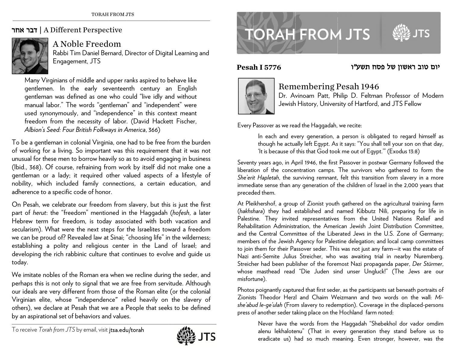## ד**בר אחר | A** Different Perspective



A Noble Freedom

Rabbi Tim D Daniel Bernard, D Director of Digit al Learning and Engagemen t, JTS

Many Virginians of middle and upper ranks aspired to behave like gentlemen. In the early seventeenth century an English gentleman was defined as one who could "live idly and without manual labor." The words "gentleman" and "independent" were used synonymously, and "independence" in this context meant freedom from the necessity of labor. (David Hackett Fischer, *Albion' 's Seed: Four Brit tish Folkways in A America*, 366)

To be a gentleman in colonial Virginia, one had to be free from the burden of working for a living. So important was this requirement that it was not unusual for these men to borrow heavily so as to avoid engaging in business (lbid., 368). Of course, refraining from work by itself did not make one a gentleman or a lady; it required other valued aspects of a lifestyle of nobility, which included family connections, a certain education, and adherence to a specific code of honor.

On Pesah, we celebrate our freedom from slavery, but this is just the first part of *herut*: the "freedom" mentioned in the Haggadah (*hofesh*, a later Hebrew term for freedom, is today associated with both vacation and secularism). What were the next steps for the Israelites toward a freedom we can be proud of? Revealed law at Sinai; "choosing life" in the wilderness; establishing a polity and religious center in the Land of Israel; and developing the rich rabbinic culture that continues to evolve and guide us today.

We imitate nobles of the Roman era when we recline during the seder, and perhaps this is not only to signal that we are free from servitude. Although our ideals are very different from those of the Roman elite (or the colonial Virginian e lite, whose "in d dependence" re lied heavily on the slavery of others), we declare at Pesah that we are a People that seeks to be defined by an aspirational set of behaviors and values.



## **TORAH FROM JTS**



יום טוב ראשון של פסח תשע״ו

## **Pesaah I 5776**



## Remembering Pesah 1946

Dr. Avinoam Patt, Philip D. Feltman Professor of Modern Jewish History, University of Hartford, and JTS Fellow

Every Passover as we read the Haggadah, we recite:

In each and every generation, a person is obligated to regard himself as though he actually left Egypt. As it says: "You shall tell your son on that day, 'It is because of this that God took me out of Egypt.'" (Exodus 13:8)

Seventy years ago, in April 1946, the first Passover in postwar Germany followed the liberation of the concentration camps. The survivors who gathered to form the *She'erit Hapletah,* the surviving remnant, felt this transition from slavery in a more immediate sense than any generation of the children of Israel in the 2,000 years that preceded them.

At Pleikhershof, a group of Zionist youth gathered on the agricultural training farm (*hakhshara*) they had established and named Kibbutz Nili, preparing for life in Palestine. They invited representatives from the United Nations Relief and Rehabilitation Administration, the American Jewish Joint Distribution Committee, and the Central Committee of the Liberated Jews in the U.S. Zone of Germany; members of the Jewish Agency for Palestine delegation; and local camp committees to join them for their Passover seder. This was not just any farm—it was the estate of Nazi anti-Semite Julius Streicher, who was awaiting trial in nearby Nuremberg. Streicher had been publisher of the foremost Nazi propaganda paper, *Der Stürmer*, whose masthead read "Die Juden sind unser Ungluck!" (The Jews are our misfort tune).

Photos poignantly captured that first seder, as the participants sat beneath portraits of Zionists Theodor Herzl and Chaim Weizmann and two words on the wall: *Mishe'abud le-ge'ulah* (From slavery to redemption). Coverage in the displaced-persons press of another seder taking place on the Hochland farm noted:

Never have the words from the Haggadah "Shebekhol dor vador omdim alenu lekhalotenu" (That in every generation they stand before us to eradicate us) had so much meaning. Even stronger, however, was the